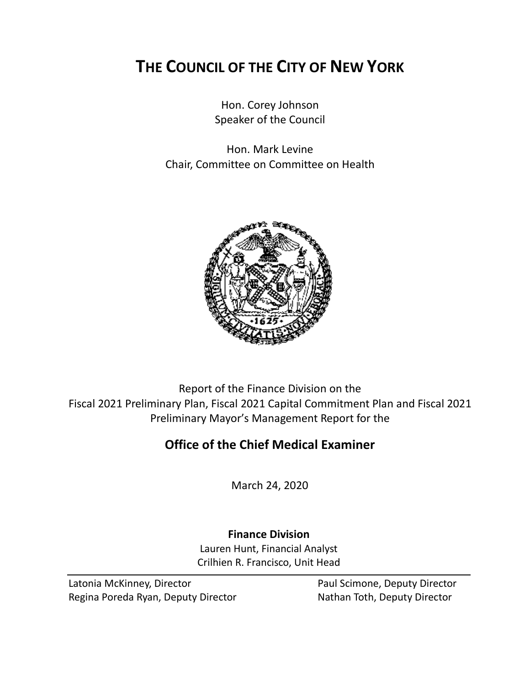# **THE COUNCIL OF THE CITY OF NEW YORK**

Hon. Corey Johnson Speaker of the Council

Hon. Mark Levine Chair, Committee on Committee on Health



Report of the Finance Division on the Fiscal 2021 Preliminary Plan, Fiscal 2021 Capital Commitment Plan and Fiscal 2021 Preliminary Mayor's Management Report for the

## **Office of the Chief Medical Examiner**

March 24, 2020

**Finance Division** Lauren Hunt, Financial Analyst Crilhien R. Francisco, Unit Head

Latonia McKinney, Director **Paul Scimone, Deputy Director** Regina Poreda Ryan, Deputy Director Nathan Toth, Deputy Director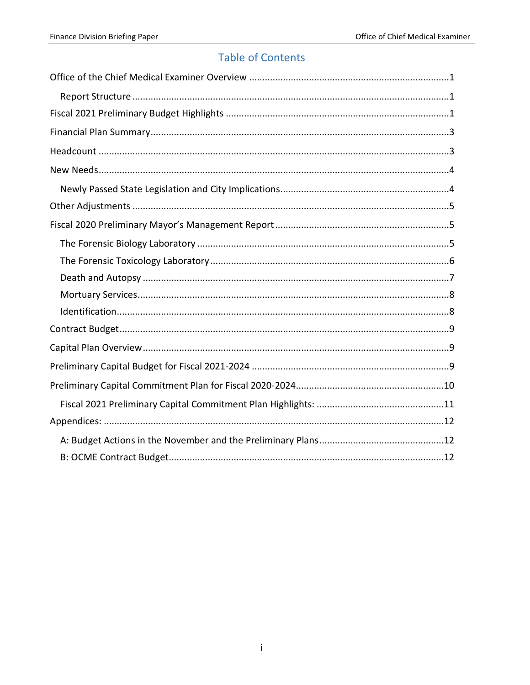## **Table of Contents**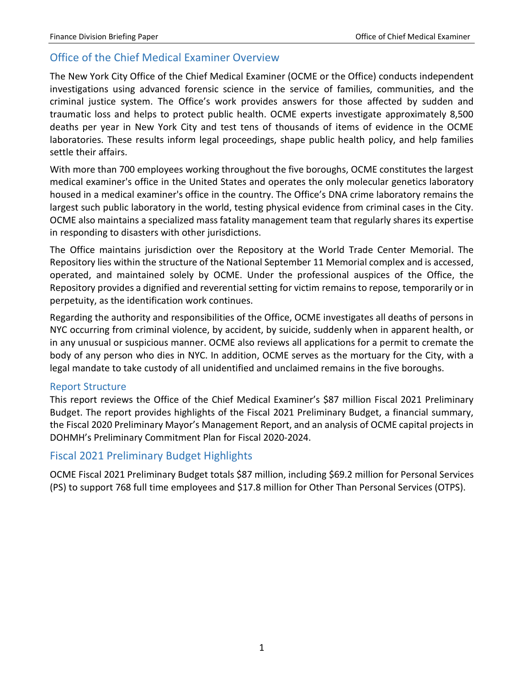## <span id="page-2-0"></span>Office of the Chief Medical Examiner Overview

The New York City Office of the Chief Medical Examiner (OCME or the Office) conducts independent investigations using advanced forensic science in the service of families, communities, and the criminal justice system. The Office's work provides answers for those affected by sudden and traumatic loss and helps to protect public health. OCME experts investigate approximately 8,500 deaths per year in New York City and test tens of thousands of items of evidence in the OCME laboratories. These results inform legal proceedings, shape public health policy, and help families settle their affairs.

With more than 700 employees working throughout the five boroughs, OCME constitutes the largest medical examiner's office in the United States and operates the only molecular genetics laboratory housed in a medical examiner's office in the country. The Office's DNA crime laboratory remains the largest such public laboratory in the world, testing physical evidence from criminal cases in the City. OCME also maintains a specialized mass fatality management team that regularly shares its expertise in responding to disasters with other jurisdictions.

The Office maintains jurisdiction over the Repository at the World Trade Center Memorial. The Repository lies within the structure of the National September 11 Memorial complex and is accessed, operated, and maintained solely by OCME. Under the professional auspices of the Office, the Repository provides a dignified and reverential setting for victim remains to repose, temporarily or in perpetuity, as the identification work continues.

Regarding the authority and responsibilities of the Office, OCME investigates all deaths of persons in NYC occurring from criminal violence, by accident, by suicide, suddenly when in apparent health, or in any unusual or suspicious manner. OCME also reviews all applications for a permit to cremate the body of any person who dies in NYC. In addition, OCME serves as the mortuary for the City, with a legal mandate to take custody of all unidentified and unclaimed remains in the five boroughs.

#### <span id="page-2-1"></span>Report Structure

This report reviews the Office of the Chief Medical Examiner's \$87 million Fiscal 2021 Preliminary Budget. The report provides highlights of the Fiscal 2021 Preliminary Budget, a financial summary, the Fiscal 2020 Preliminary Mayor's Management Report, and an analysis of OCME capital projects in DOHMH's Preliminary Commitment Plan for Fiscal 2020-2024.

### <span id="page-2-2"></span>Fiscal 2021 Preliminary Budget Highlights

OCME Fiscal 2021 Preliminary Budget totals \$87 million, including \$69.2 million for Personal Services (PS) to support 768 full time employees and \$17.8 million for Other Than Personal Services (OTPS).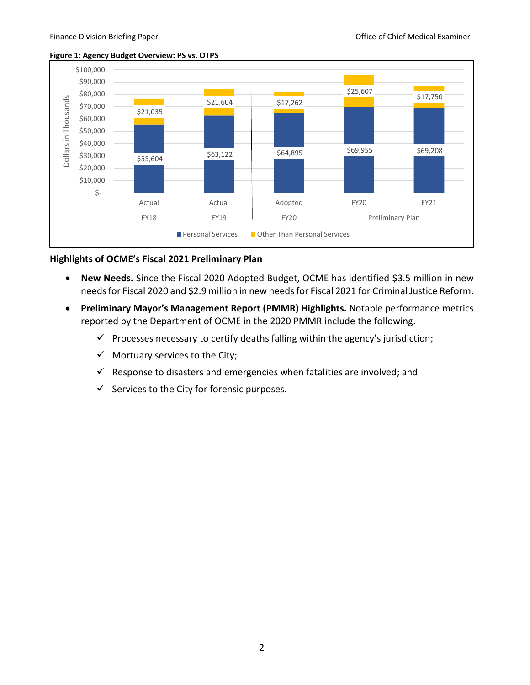

#### **Figure 1: Agency Budget Overview: PS vs. OTPS**

#### **Highlights of OCME's Fiscal 2021 Preliminary Plan**

- **New Needs.** Since the Fiscal 2020 Adopted Budget, OCME has identified \$3.5 million in new needs for Fiscal 2020 and \$2.9 million in new needs for Fiscal 2021 for Criminal Justice Reform.
- **Preliminary Mayor's Management Report (PMMR) Highlights.** Notable performance metrics reported by the Department of OCME in the 2020 PMMR include the following.
	- $\checkmark$  Processes necessary to certify deaths falling within the agency's jurisdiction;
	- $\checkmark$  Mortuary services to the City;
	- $\checkmark$  Response to disasters and emergencies when fatalities are involved; and
	- $\checkmark$  Services to the City for forensic purposes.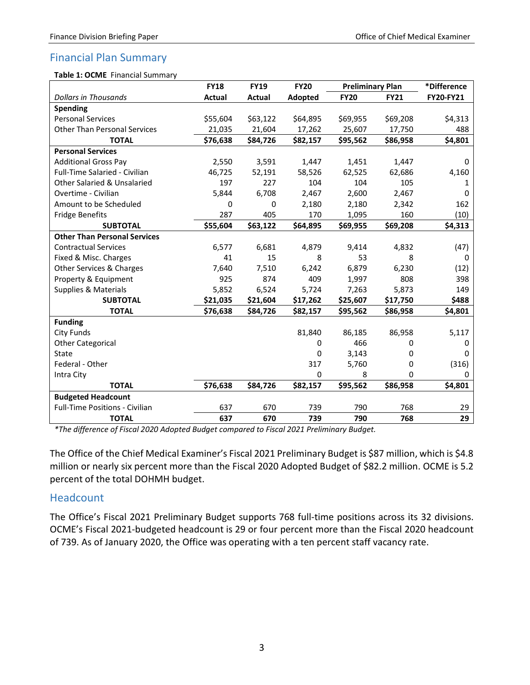## <span id="page-4-0"></span>Financial Plan Summary

#### **Table 1: OCME** Financial Summary

|                                        | <b>FY18</b> | <b>FY19</b> | <b>FY20</b> | <b>Preliminary Plan</b> |             | *Difference      |
|----------------------------------------|-------------|-------------|-------------|-------------------------|-------------|------------------|
| <b>Dollars in Thousands</b>            | Actual      | Actual      | Adopted     | <b>FY20</b>             | <b>FY21</b> | <b>FY20-FY21</b> |
| <b>Spending</b>                        |             |             |             |                         |             |                  |
| <b>Personal Services</b>               | \$55,604    | \$63,122    | \$64,895    | \$69,955                | \$69,208    | \$4,313          |
| <b>Other Than Personal Services</b>    | 21,035      | 21,604      | 17,262      | 25,607                  | 17,750      | 488              |
| <b>TOTAL</b>                           | \$76,638    | \$84,726    | \$82,157    | \$95,562                | \$86,958    | \$4,801          |
| <b>Personal Services</b>               |             |             |             |                         |             |                  |
| <b>Additional Gross Pay</b>            | 2,550       | 3,591       | 1,447       | 1,451                   | 1,447       | $\Omega$         |
| <b>Full-Time Salaried - Civilian</b>   | 46,725      | 52,191      | 58,526      | 62,525                  | 62,686      | 4,160            |
| <b>Other Salaried &amp; Unsalaried</b> | 197         | 227         | 104         | 104                     | 105         | 1                |
| Overtime - Civilian                    | 5,844       | 6,708       | 2,467       | 2,600                   | 2,467       | 0                |
| Amount to be Scheduled                 | 0           | 0           | 2,180       | 2,180                   | 2,342       | 162              |
| <b>Fridge Benefits</b>                 | 287         | 405         | 170         | 1,095                   | 160         | (10)             |
| <b>SUBTOTAL</b>                        | \$55,604    | \$63,122    | \$64,895    | \$69,955                | \$69,208    | \$4,313          |
| <b>Other Than Personal Services</b>    |             |             |             |                         |             |                  |
| <b>Contractual Services</b>            | 6,577       | 6,681       | 4,879       | 9,414                   | 4,832       | (47)             |
| Fixed & Misc. Charges                  | 41          | 15          | 8           | 53                      | 8           | $\Omega$         |
| Other Services & Charges               | 7,640       | 7,510       | 6,242       | 6,879                   | 6,230       | (12)             |
| Property & Equipment                   | 925         | 874         | 409         | 1,997                   | 808         | 398              |
| <b>Supplies &amp; Materials</b>        | 5,852       | 6,524       | 5,724       | 7,263                   | 5,873       | 149              |
| <b>SUBTOTAL</b>                        | \$21,035    | \$21,604    | \$17,262    | \$25,607                | \$17,750    | \$488            |
| <b>TOTAL</b>                           | \$76,638    | \$84,726    | \$82,157    | \$95,562                | \$86,958    | \$4,801          |
| <b>Funding</b>                         |             |             |             |                         |             |                  |
| <b>City Funds</b>                      |             |             | 81,840      | 86,185                  | 86,958      | 5,117            |
| <b>Other Categorical</b>               |             |             | 0           | 466                     | 0           | 0                |
| <b>State</b>                           |             |             | 0           | 3,143                   | 0           | 0                |
| Federal - Other                        |             |             | 317         | 5,760                   | 0           | (316)            |
| Intra City                             |             |             | 0           | 8                       | 0           | 0                |
| <b>TOTAL</b>                           | \$76,638    | \$84,726    | \$82,157    | \$95,562                | \$86,958    | \$4,801          |
| <b>Budgeted Headcount</b>              |             |             |             |                         |             |                  |
| <b>Full-Time Positions - Civilian</b>  | 637         | 670         | 739         | 790                     | 768         | 29               |
| <b>TOTAL</b>                           | 637         | 670         | 739         | 790                     | 768         | 29               |

*\*The difference of Fiscal 2020 Adopted Budget compared to Fiscal 2021 Preliminary Budget.*

The Office of the Chief Medical Examiner's Fiscal 2021 Preliminary Budget is \$87 million, which is \$4.8 million or nearly six percent more than the Fiscal 2020 Adopted Budget of \$82.2 million. OCME is 5.2 percent of the total DOHMH budget.

#### <span id="page-4-1"></span>Headcount

The Office's Fiscal 2021 Preliminary Budget supports 768 full-time positions across its 32 divisions. OCME's Fiscal 2021-budgeted headcount is 29 or four percent more than the Fiscal 2020 headcount of 739. As of January 2020, the Office was operating with a ten percent staff vacancy rate.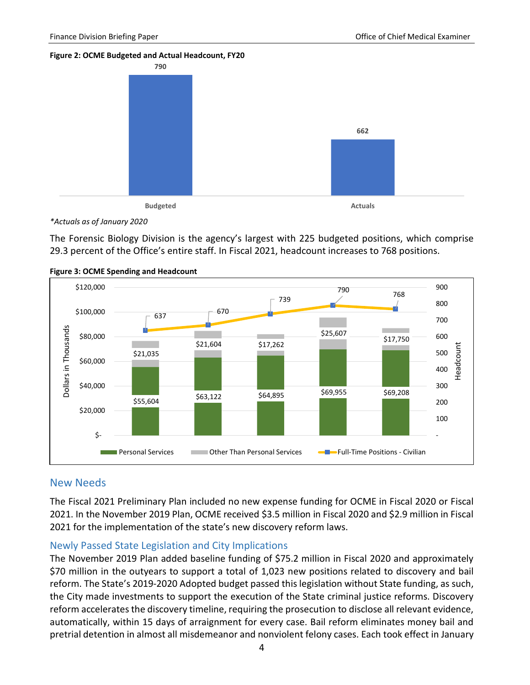#### **Figure 2: OCME Budgeted and Actual Headcount, FY20**



*\*Actuals as of January 2020*

The Forensic Biology Division is the agency's largest with 225 budgeted positions, which comprise 29.3 percent of the Office's entire staff. In Fiscal 2021, headcount increases to 768 positions.



#### **Figure 3: OCME Spending and Headcount**

#### <span id="page-5-0"></span>New Needs

The Fiscal 2021 Preliminary Plan included no new expense funding for OCME in Fiscal 2020 or Fiscal 2021. In the November 2019 Plan, OCME received \$3.5 million in Fiscal 2020 and \$2.9 million in Fiscal 2021 for the implementation of the state's new discovery reform laws.

#### <span id="page-5-1"></span>Newly Passed State Legislation and City Implications

The November 2019 Plan added baseline funding of \$75.2 million in Fiscal 2020 and approximately \$70 million in the outyears to support a total of 1,023 new positions related to discovery and bail reform. The State's 2019-2020 Adopted budget passed this legislation without State funding, as such, the City made investments to support the execution of the State criminal justice reforms. Discovery reform accelerates the discovery timeline, requiring the prosecution to disclose all relevant evidence, automatically, within 15 days of arraignment for every case. Bail reform eliminates money bail and pretrial detention in almost all misdemeanor and nonviolent felony cases. Each took effect in January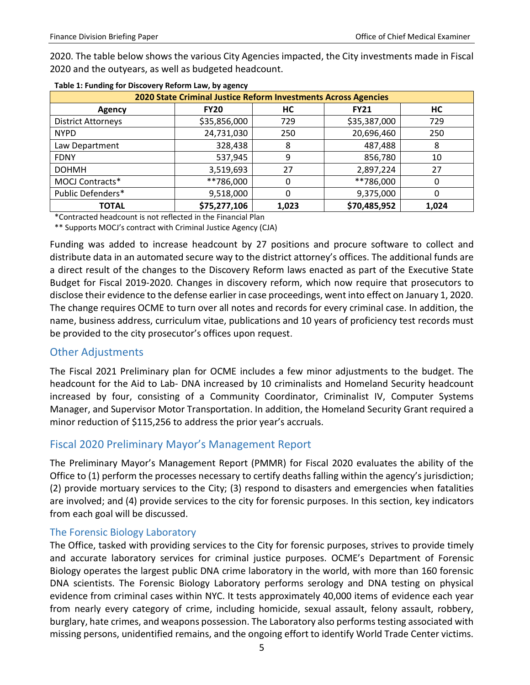2020. The table below shows the various City Agencies impacted, the City investments made in Fiscal 2020 and the outyears, as well as budgeted headcount.

| 2020 State Criminal Justice Reform Investments Across Agencies |              |       |              |       |  |  |  |  |
|----------------------------------------------------------------|--------------|-------|--------------|-------|--|--|--|--|
| <b>Agency</b>                                                  | <b>FY20</b>  | HС    | <b>FY21</b>  | HС    |  |  |  |  |
| <b>District Attorneys</b>                                      | \$35,856,000 | 729   | \$35,387,000 | 729   |  |  |  |  |
| <b>NYPD</b>                                                    | 24,731,030   | 250   | 20,696,460   | 250   |  |  |  |  |
| Law Department                                                 | 328,438      | 8     | 487,488      | 8     |  |  |  |  |
| <b>FDNY</b>                                                    | 537,945      | 9     | 856,780      | 10    |  |  |  |  |
| <b>DOHMH</b>                                                   | 3,519,693    | 27    | 2,897,224    | 27    |  |  |  |  |
| MOCJ Contracts*                                                | **786,000    | 0     | **786,000    | 0     |  |  |  |  |
| Public Defenders*                                              | 9,518,000    | 0     | 9,375,000    |       |  |  |  |  |
| <b>TOTAL</b>                                                   | \$75,277,106 | 1,023 | \$70,485,952 | 1,024 |  |  |  |  |

\*Contracted headcount is not reflected in the Financial Plan

\*\* Supports MOCJ's contract with Criminal Justice Agency (CJA)

Funding was added to increase headcount by 27 positions and procure software to collect and distribute data in an automated secure way to the district attorney's offices. The additional funds are a direct result of the changes to the Discovery Reform laws enacted as part of the Executive State Budget for Fiscal 2019-2020. Changes in discovery reform, which now require that prosecutors to disclose their evidence to the defense earlier in case proceedings, went into effect on January 1, 2020. The change requires OCME to turn over all notes and records for every criminal case. In addition, the name, business address, curriculum vitae, publications and 10 years of proficiency test records must be provided to the city prosecutor's offices upon request.

#### <span id="page-6-0"></span>Other Adjustments

The Fiscal 2021 Preliminary plan for OCME includes a few minor adjustments to the budget. The headcount for the Aid to Lab- DNA increased by 10 criminalists and Homeland Security headcount increased by four, consisting of a Community Coordinator, Criminalist IV, Computer Systems Manager, and Supervisor Motor Transportation. In addition, the Homeland Security Grant required a minor reduction of \$115,256 to address the prior year's accruals.

### <span id="page-6-1"></span>Fiscal 2020 Preliminary Mayor's Management Report

The Preliminary Mayor's Management Report (PMMR) for Fiscal 2020 evaluates the ability of the Office to (1) perform the processes necessary to certify deaths falling within the agency's jurisdiction; (2) provide mortuary services to the City; (3) respond to disasters and emergencies when fatalities are involved; and (4) provide services to the city for forensic purposes. In this section, key indicators from each goal will be discussed.

#### <span id="page-6-2"></span>The Forensic Biology Laboratory

The Office, tasked with providing services to the City for forensic purposes, strives to provide timely and accurate laboratory services for criminal justice purposes. OCME's Department of Forensic Biology operates the largest public DNA crime laboratory in the world, with more than 160 forensic DNA scientists. The Forensic Biology Laboratory performs serology and DNA testing on physical evidence from criminal cases within NYC. It tests approximately 40,000 items of evidence each year from nearly every category of crime, including homicide, sexual assault, felony assault, robbery, burglary, hate crimes, and weapons possession. The Laboratory also performs testing associated with missing persons, unidentified remains, and the ongoing effort to identify World Trade Center victims.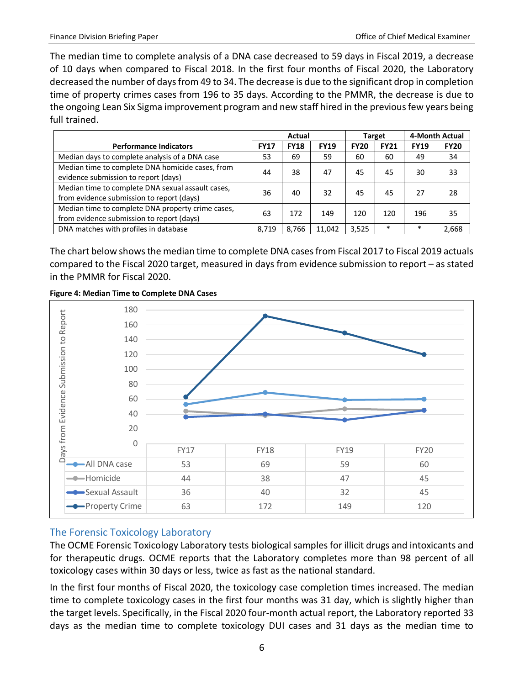The median time to complete analysis of a DNA case decreased to 59 days in Fiscal 2019, a decrease of 10 days when compared to Fiscal 2018. In the first four months of Fiscal 2020, the Laboratory decreased the number of days from 49 to 34. The decrease is due to the significant drop in completion time of property crimes cases from 196 to 35 days. According to the PMMR, the decrease is due to the ongoing Lean Six Sigma improvement program and new staff hired in the previous few years being full trained.

|                                                                                                | Actual      |             |             | Target      |             | 4-Month Actual |             |
|------------------------------------------------------------------------------------------------|-------------|-------------|-------------|-------------|-------------|----------------|-------------|
| <b>Performance Indicators</b>                                                                  | <b>FY17</b> | <b>FY18</b> | <b>FY19</b> | <b>FY20</b> | <b>FY21</b> | <b>FY19</b>    | <b>FY20</b> |
| Median days to complete analysis of a DNA case                                                 | 53          | 69          | 59          | 60          | 60          | 49             | 34          |
| Median time to complete DNA homicide cases, from<br>evidence submission to report (days)       | 44          | 38          | 47          | 45          | 45          | 30             | 33          |
| Median time to complete DNA sexual assault cases,<br>from evidence submission to report (days) | 36          | 40          | 32          | 45          | 45          | 27             | 28          |
| Median time to complete DNA property crime cases,<br>from evidence submission to report (days) | 63          | 172         | 149         | 120         | 120         | 196            | 35          |
| DNA matches with profiles in database                                                          | 8.719       | 8.766       | 11,042      | 3,525       | $\ast$      | $\ast$         | 2,668       |

The chart below shows the median time to complete DNA cases from Fiscal 2017 to Fiscal 2019 actuals compared to the Fiscal 2020 target, measured in days from evidence submission to report – as stated in the PMMR for Fiscal 2020.





### <span id="page-7-0"></span>The Forensic Toxicology Laboratory

The OCME Forensic Toxicology Laboratory tests biological samples for illicit drugs and intoxicants and for therapeutic drugs. OCME reports that the Laboratory completes more than 98 percent of all toxicology cases within 30 days or less, twice as fast as the national standard.

In the first four months of Fiscal 2020, the toxicology case completion times increased. The median time to complete toxicology cases in the first four months was 31 day, which is slightly higher than the target levels. Specifically, in the Fiscal 2020 four-month actual report, the Laboratory reported 33 days as the median time to complete toxicology DUI cases and 31 days as the median time to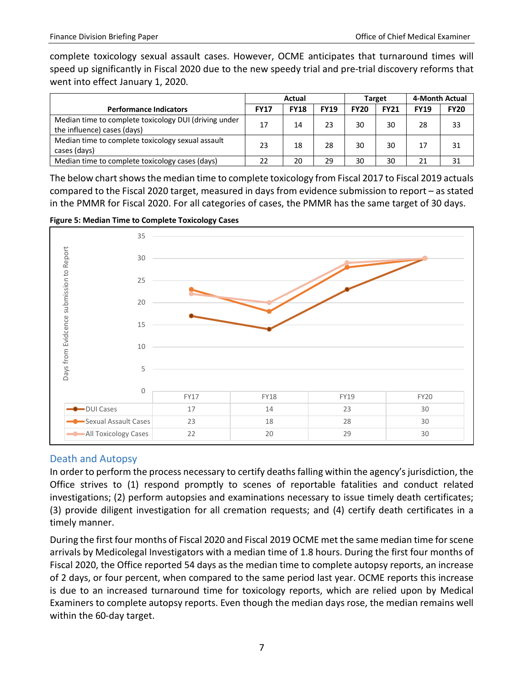complete toxicology sexual assault cases. However, OCME anticipates that turnaround times will speed up significantly in Fiscal 2020 due to the new speedy trial and pre-trial discovery reforms that went into effect January 1, 2020.

|                                                                                      | Actual      |             |             |             | Target      | 4-Month Actual |             |
|--------------------------------------------------------------------------------------|-------------|-------------|-------------|-------------|-------------|----------------|-------------|
| <b>Performance Indicators</b>                                                        | <b>FY17</b> | <b>FY18</b> | <b>FY19</b> | <b>FY20</b> | <b>FY21</b> | <b>FY19</b>    | <b>FY20</b> |
| Median time to complete toxicology DUI (driving under<br>the influence) cases (days) | 17          | 14          | 23          | 30          | 30          | 28             | 33          |
| Median time to complete toxicology sexual assault<br>cases (days)                    | 23          | 18          | 28          | 30          | 30          | 17             | 31          |
| Median time to complete toxicology cases (days)                                      | 22          | 20          | 29          | 30          | 30          | 21             | 31          |

The below chart shows the median time to complete toxicology from Fiscal 2017 to Fiscal 2019 actuals compared to the Fiscal 2020 target, measured in days from evidence submission to report – as stated in the PMMR for Fiscal 2020. For all categories of cases, the PMMR has the same target of 30 days.





#### <span id="page-8-0"></span>Death and Autopsy

In order to perform the process necessary to certify deaths falling within the agency's jurisdiction, the Office strives to (1) respond promptly to scenes of reportable fatalities and conduct related investigations; (2) perform autopsies and examinations necessary to issue timely death certificates; (3) provide diligent investigation for all cremation requests; and (4) certify death certificates in a timely manner.

During the first four months of Fiscal 2020 and Fiscal 2019 OCME met the same median time for scene arrivals by Medicolegal Investigators with a median time of 1.8 hours. During the first four months of Fiscal 2020, the Office reported 54 days as the median time to complete autopsy reports, an increase of 2 days, or four percent, when compared to the same period last year. OCME reports this increase is due to an increased turnaround time for toxicology reports, which are relied upon by Medical Examiners to complete autopsy reports. Even though the median days rose, the median remains well within the 60-day target.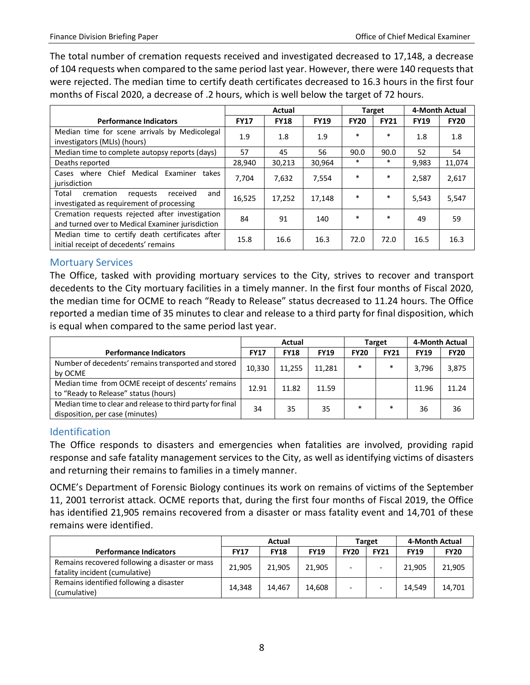The total number of cremation requests received and investigated decreased to 17,148, a decrease of 104 requests when compared to the same period last year. However, there were 140 requests that were rejected. The median time to certify death certificates decreased to 16.3 hours in the first four months of Fiscal 2020, a decrease of .2 hours, which is well below the target of 72 hours.

|                                                                                                     | Actual      |             |             |             | <b>Target</b> | 4-Month Actual |             |
|-----------------------------------------------------------------------------------------------------|-------------|-------------|-------------|-------------|---------------|----------------|-------------|
| <b>Performance Indicators</b>                                                                       | <b>FY17</b> | <b>FY18</b> | <b>FY19</b> | <b>FY20</b> | <b>FY21</b>   | <b>FY19</b>    | <b>FY20</b> |
| Median time for scene arrivals by Medicolegal<br>investigators (MLIs) (hours)                       | 1.9         | 1.8         | 1.9         | $\ast$      | $\ast$        | 1.8            | 1.8         |
| Median time to complete autopsy reports (days)                                                      | 57          | 45          | 56          | 90.0        | 90.0          | 52             | 54          |
| Deaths reported                                                                                     | 28,940      | 30,213      | 30,964      | $\ast$      | $\ast$        | 9,983          | 11,074      |
| Cases where Chief Medical Examiner<br>takes<br>jurisdiction                                         | 7.704       | 7,632       | 7,554       | $\ast$      | $\ast$        | 2,587          | 2,617       |
| Total<br>cremation<br>received<br>and<br>requests<br>investigated as requirement of processing      | 16,525      | 17,252      | 17,148      | $\ast$      | $\ast$        | 5,543          | 5,547       |
| Cremation requests rejected after investigation<br>and turned over to Medical Examiner jurisdiction | 84          | 91          | 140         | $\ast$      | $\ast$        | 49             | 59          |
| Median time to certify death certificates after<br>initial receipt of decedents' remains            | 15.8        | 16.6        | 16.3        | 72.0        | 72.0          | 16.5           | 16.3        |

#### <span id="page-9-0"></span>Mortuary Services

The Office, tasked with providing mortuary services to the City, strives to recover and transport decedents to the City mortuary facilities in a timely manner. In the first four months of Fiscal 2020, the median time for OCME to reach "Ready to Release" status decreased to 11.24 hours. The Office reported a median time of 35 minutes to clear and release to a third party for final disposition, which is equal when compared to the same period last year.

|                                                                                              | Actual      |             |             |             | Target      | 4-Month Actual |             |
|----------------------------------------------------------------------------------------------|-------------|-------------|-------------|-------------|-------------|----------------|-------------|
| <b>Performance Indicators</b>                                                                | <b>FY17</b> | <b>FY18</b> | <b>FY19</b> | <b>FY20</b> | <b>FY21</b> | <b>FY19</b>    | <b>FY20</b> |
| Number of decedents' remains transported and stored<br>by OCME                               | 10,330      | 11,255      | 11,281      | $\ast$      | $\ast$      | 3.796          | 3,875       |
| Median time from OCME receipt of descents' remains<br>to "Ready to Release" status (hours)   | 12.91       | 11.82       | 11.59       |             |             | 11.96          | 11.24       |
| Median time to clear and release to third party for final<br>disposition, per case (minutes) | 34          | 35          | 35          | $\ast$      | $\ast$      | 36             | 36          |

#### <span id="page-9-1"></span>**Identification**

The Office responds to disasters and emergencies when fatalities are involved, providing rapid response and safe fatality management services to the City, as well as identifying victims of disasters and returning their remains to families in a timely manner.

OCME's Department of Forensic Biology continues its work on remains of victims of the September 11, 2001 terrorist attack. OCME reports that, during the first four months of Fiscal 2019, the Office has identified 21,905 remains recovered from a disaster or mass fatality event and 14,701 of these remains were identified.

|                                                                                  | Actual      |             |             |             | Target                   | 4-Month Actual |             |
|----------------------------------------------------------------------------------|-------------|-------------|-------------|-------------|--------------------------|----------------|-------------|
| <b>Performance Indicators</b>                                                    | <b>FY17</b> | <b>FY18</b> | <b>FY19</b> | <b>FY20</b> | <b>FY21</b>              | <b>FY19</b>    | <b>FY20</b> |
| Remains recovered following a disaster or mass<br>fatality incident (cumulative) | 21,905      | 21.905      | 21,905      |             | $\overline{\phantom{0}}$ | 21.905         | 21,905      |
| Remains identified following a disaster<br>(cumulative)                          | 14.348      | 14.467      | 14.608      |             |                          | 14.549         | 14,701      |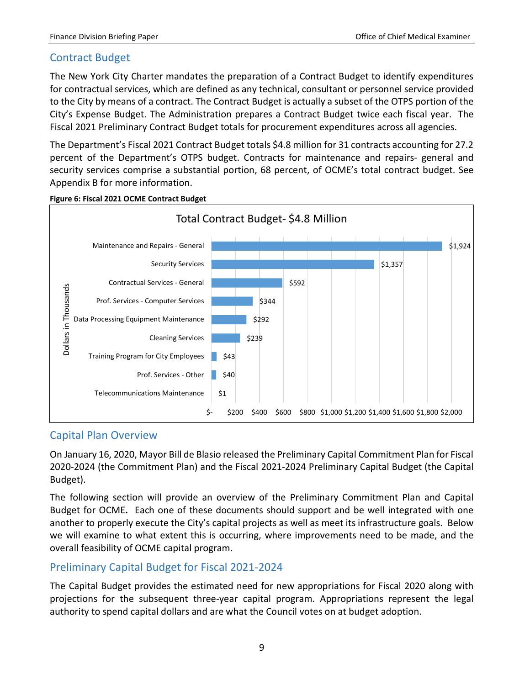## <span id="page-10-0"></span>Contract Budget

The New York City Charter mandates the preparation of a Contract Budget to identify expenditures for contractual services, which are defined as any technical, consultant or personnel service provided to the City by means of a contract. The Contract Budget is actually a subset of the OTPS portion of the City's Expense Budget. The Administration prepares a Contract Budget twice each fiscal year. The Fiscal 2021 Preliminary Contract Budget totals for procurement expenditures across all agencies.

The Department's Fiscal 2021 Contract Budget totals \$4.8 million for 31 contracts accounting for 27.2 percent of the Department's OTPS budget. Contracts for maintenance and repairs- general and security services comprise a substantial portion, 68 percent, of OCME's total contract budget. See Appendix B for more information.



#### **Figure 6: Fiscal 2021 OCME Contract Budget**

#### <span id="page-10-1"></span>Capital Plan Overview

On January 16, 2020, Mayor Bill de Blasio released the Preliminary Capital Commitment Plan for Fiscal 2020-2024 (the Commitment Plan) and the Fiscal 2021-2024 Preliminary Capital Budget (the Capital Budget).

The following section will provide an overview of the Preliminary Commitment Plan and Capital Budget for OCME**.** Each one of these documents should support and be well integrated with one another to properly execute the City's capital projects as well as meet its infrastructure goals. Below we will examine to what extent this is occurring, where improvements need to be made, and the overall feasibility of OCME capital program.

### <span id="page-10-2"></span>Preliminary Capital Budget for Fiscal 2021-2024

The Capital Budget provides the estimated need for new appropriations for Fiscal 2020 along with projections for the subsequent three-year capital program. Appropriations represent the legal authority to spend capital dollars and are what the Council votes on at budget adoption.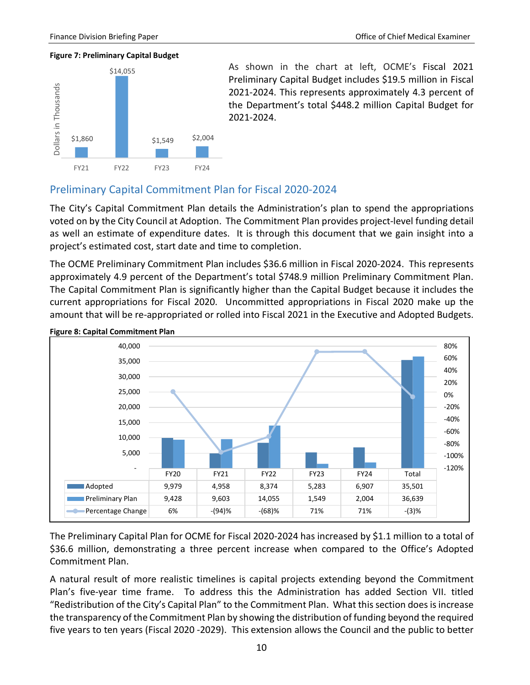#### **Figure 7: Preliminary Capital Budget**



As shown in the chart at left, OCME's Fiscal 2021 Preliminary Capital Budget includes \$19.5 million in Fiscal 2021-2024. This represents approximately 4.3 percent of the Department's total \$448.2 million Capital Budget for 2021-2024.

### <span id="page-11-0"></span>Preliminary Capital Commitment Plan for Fiscal 2020-2024

The City's Capital Commitment Plan details the Administration's plan to spend the appropriations voted on by the City Council at Adoption. The Commitment Plan provides project-level funding detail as well an estimate of expenditure dates. It is through this document that we gain insight into a project's estimated cost, start date and time to completion.

The OCME Preliminary Commitment Plan includes \$36.6 million in Fiscal 2020-2024. This represents approximately 4.9 percent of the Department's total \$748.9 million Preliminary Commitment Plan. The Capital Commitment Plan is significantly higher than the Capital Budget because it includes the current appropriations for Fiscal 2020. Uncommitted appropriations in Fiscal 2020 make up the amount that will be re-appropriated or rolled into Fiscal 2021 in the Executive and Adopted Budgets.



**Figure 8: Capital Commitment Plan**

The Preliminary Capital Plan for OCME for Fiscal 2020-2024 has increased by \$1.1 million to a total of \$36.6 million, demonstrating a three percent increase when compared to the Office's Adopted Commitment Plan.

A natural result of more realistic timelines is capital projects extending beyond the Commitment Plan's five-year time frame. To address this the Administration has added Section VII. titled "Redistribution of the City's Capital Plan" to the Commitment Plan. What this section does is increase the transparency of the Commitment Plan by showing the distribution of funding beyond the required five years to ten years (Fiscal 2020 -2029). This extension allows the Council and the public to better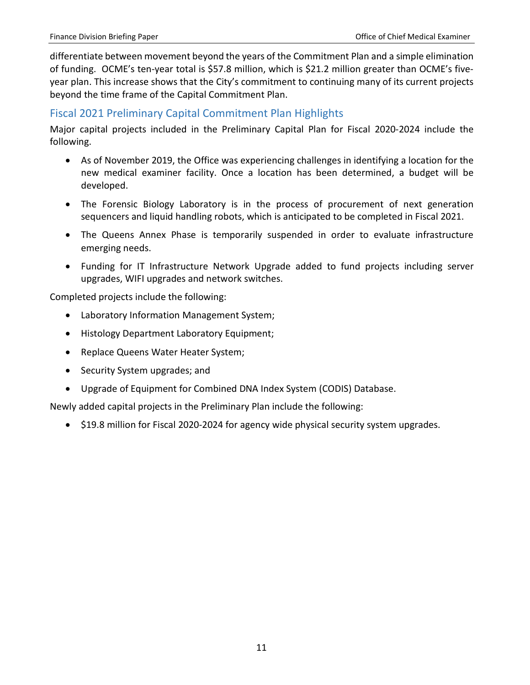differentiate between movement beyond the years of the Commitment Plan and a simple elimination of funding. OCME's ten-year total is \$57.8 million, which is \$21.2 million greater than OCME's fiveyear plan. This increase shows that the City's commitment to continuing many of its current projects beyond the time frame of the Capital Commitment Plan.

### <span id="page-12-0"></span>Fiscal 2021 Preliminary Capital Commitment Plan Highlights

Major capital projects included in the Preliminary Capital Plan for Fiscal 2020-2024 include the following.

- As of November 2019, the Office was experiencing challenges in identifying a location for the new medical examiner facility. Once a location has been determined, a budget will be developed.
- The Forensic Biology Laboratory is in the process of procurement of next generation sequencers and liquid handling robots, which is anticipated to be completed in Fiscal 2021.
- The Queens Annex Phase is temporarily suspended in order to evaluate infrastructure emerging needs.
- Funding for IT Infrastructure Network Upgrade added to fund projects including server upgrades, WIFI upgrades and network switches.

Completed projects include the following:

- Laboratory Information Management System;
- Histology Department Laboratory Equipment;
- Replace Queens Water Heater System;
- Security System upgrades; and
- Upgrade of Equipment for Combined DNA Index System (CODIS) Database.

Newly added capital projects in the Preliminary Plan include the following:

• \$19.8 million for Fiscal 2020-2024 for agency wide physical security system upgrades.